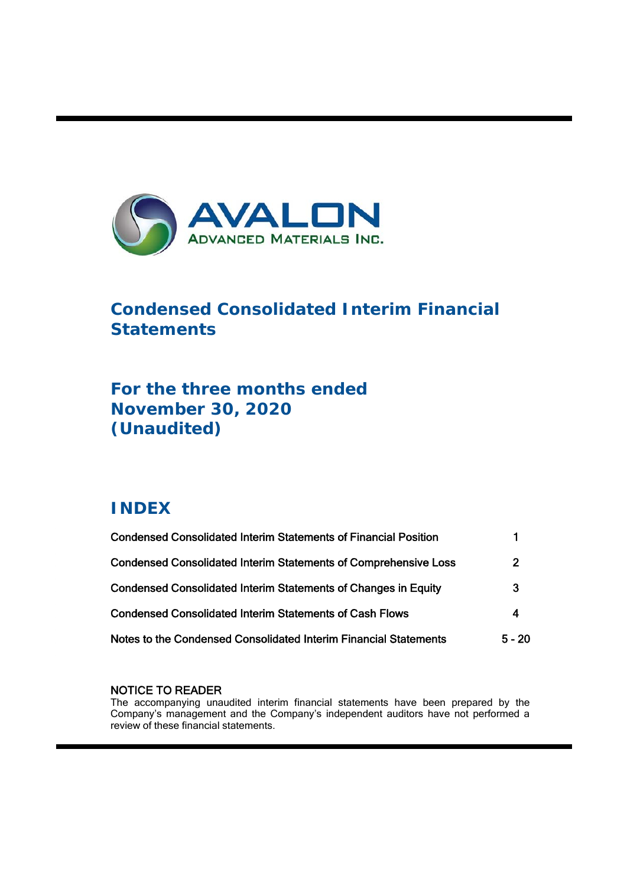

# **Condensed Consolidated Interim Financial Statements**

# **For the three months ended November 30, 2020 (Unaudited)**

# **INDEX**

ı

| <b>Condensed Consolidated Interim Statements of Financial Position</b> |                  |
|------------------------------------------------------------------------|------------------|
| <b>Condensed Consolidated Interim Statements of Comprehensive Loss</b> | $\overline{2}$   |
| <b>Condensed Consolidated Interim Statements of Changes in Equity</b>  | 3                |
| <b>Condensed Consolidated Interim Statements of Cash Flows</b>         | $\boldsymbol{A}$ |
| Notes to the Condensed Consolidated Interim Financial Statements       | $5 - 20$         |

# NOTICE TO READER

The accompanying unaudited interim financial statements have been prepared by the Company's management and the Company's independent auditors have not performed a review of these financial statements.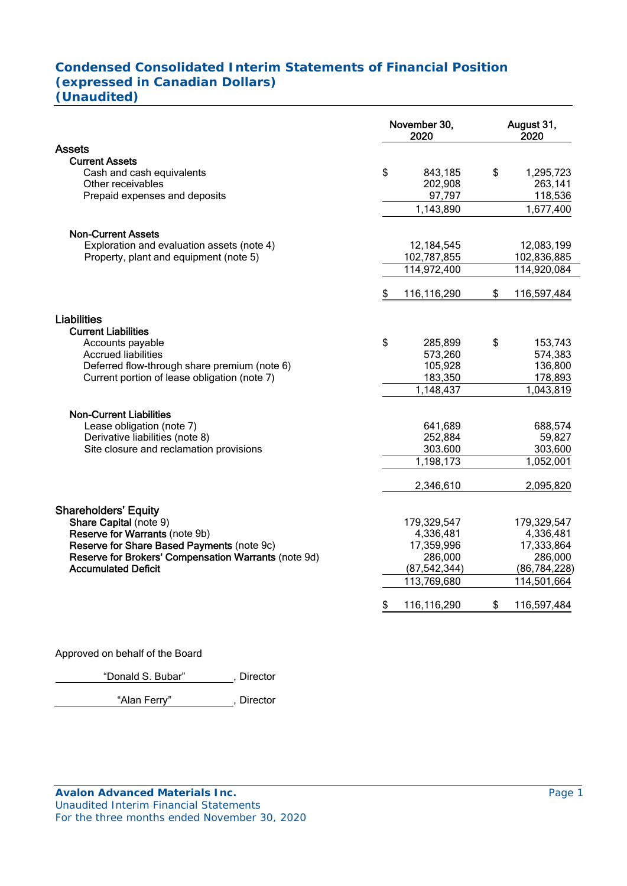# **Condensed Consolidated Interim Statements of Financial Position (expressed in Canadian Dollars) (Unaudited)**

|                                                       | November 30,<br>2020 |                    | August 31,<br>2020       |
|-------------------------------------------------------|----------------------|--------------------|--------------------------|
| <b>Assets</b>                                         |                      |                    |                          |
| <b>Current Assets</b>                                 |                      |                    |                          |
| Cash and cash equivalents                             | \$                   | 843,185            | \$<br>1,295,723          |
| Other receivables                                     |                      | 202,908            | 263,141                  |
| Prepaid expenses and deposits                         |                      | 97,797             | 118,536                  |
|                                                       |                      | 1,143,890          | 1,677,400                |
| <b>Non-Current Assets</b>                             |                      |                    |                          |
| Exploration and evaluation assets (note 4)            |                      | 12,184,545         | 12,083,199               |
| Property, plant and equipment (note 5)                |                      | 102,787,855        | 102,836,885              |
|                                                       |                      | 114,972,400        | 114,920,084              |
|                                                       | \$                   | 116,116,290        | \$<br>116,597,484        |
|                                                       |                      |                    |                          |
| <b>Liabilities</b>                                    |                      |                    |                          |
| <b>Current Liabilities</b>                            |                      |                    |                          |
| Accounts payable<br><b>Accrued liabilities</b>        | \$                   | 285,899<br>573,260 | \$<br>153,743<br>574,383 |
| Deferred flow-through share premium (note 6)          |                      | 105,928            | 136,800                  |
| Current portion of lease obligation (note 7)          |                      | 183,350            | 178,893                  |
|                                                       |                      | 1,148,437          | 1,043,819                |
|                                                       |                      |                    |                          |
| <b>Non-Current Liabilities</b>                        |                      |                    |                          |
| Lease obligation (note 7)                             |                      | 641,689            | 688,574                  |
| Derivative liabilities (note 8)                       |                      | 252,884            | 59,827                   |
| Site closure and reclamation provisions               |                      | 303.600            | 303,600                  |
|                                                       |                      | 1,198,173          | 1,052,001                |
|                                                       |                      | 2,346,610          | 2,095,820                |
|                                                       |                      |                    |                          |
| <b>Shareholders' Equity</b><br>Share Capital (note 9) |                      | 179,329,547        | 179,329,547              |
| Reserve for Warrants (note 9b)                        |                      | 4,336,481          | 4,336,481                |
| Reserve for Share Based Payments (note 9c)            |                      | 17,359,996         | 17,333,864               |
| Reserve for Brokers' Compensation Warrants (note 9d)  |                      | 286,000            | 286,000                  |
| <b>Accumulated Deficit</b>                            |                      | (87, 542, 344)     | (86, 784, 228)           |
|                                                       |                      | 113,769,680        | 114,501,664              |
|                                                       | \$                   | 116,116,290        | \$<br>116,597,484        |

Approved on behalf of the Board

"Donald S. Bubar" , Director

"Alan Ferry" , Director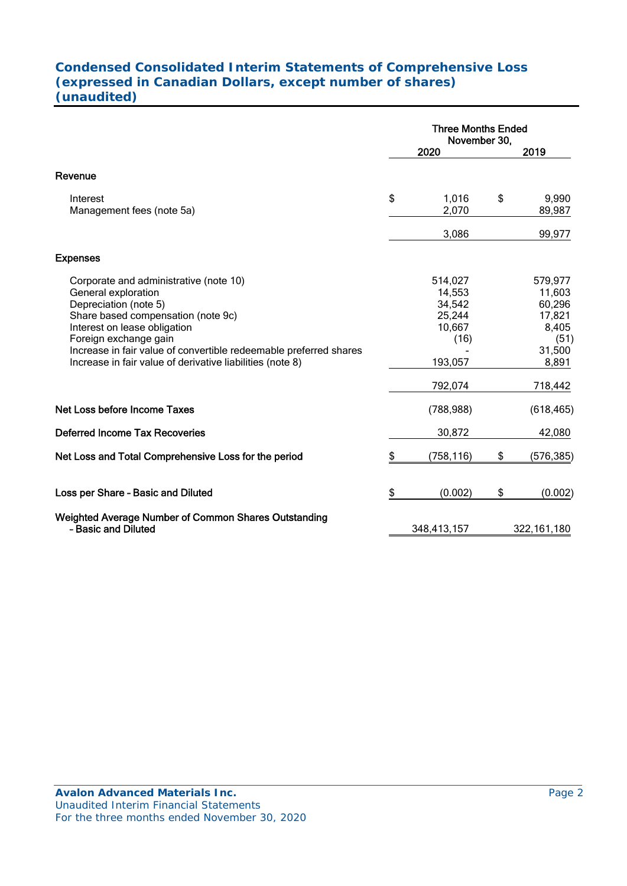# **Condensed Consolidated Interim Statements of Comprehensive Loss (expressed in Canadian Dollars, except number of shares) (unaudited)**

|                                                                                                                                                                                                                                                                                                                         | <b>Three Months Ended</b><br>November 30,                          |    |                                                                           |  |
|-------------------------------------------------------------------------------------------------------------------------------------------------------------------------------------------------------------------------------------------------------------------------------------------------------------------------|--------------------------------------------------------------------|----|---------------------------------------------------------------------------|--|
|                                                                                                                                                                                                                                                                                                                         | 2020                                                               |    | 2019                                                                      |  |
| Revenue                                                                                                                                                                                                                                                                                                                 |                                                                    |    |                                                                           |  |
| Interest<br>Management fees (note 5a)                                                                                                                                                                                                                                                                                   | \$<br>1,016<br>2,070                                               | \$ | 9,990<br>89,987                                                           |  |
|                                                                                                                                                                                                                                                                                                                         | 3,086                                                              |    | 99,977                                                                    |  |
| <b>Expenses</b>                                                                                                                                                                                                                                                                                                         |                                                                    |    |                                                                           |  |
| Corporate and administrative (note 10)<br>General exploration<br>Depreciation (note 5)<br>Share based compensation (note 9c)<br>Interest on lease obligation<br>Foreign exchange gain<br>Increase in fair value of convertible redeemable preferred shares<br>Increase in fair value of derivative liabilities (note 8) | 514,027<br>14,553<br>34,542<br>25,244<br>10,667<br>(16)<br>193,057 |    | 579,977<br>11,603<br>60,296<br>17,821<br>8,405<br>(51)<br>31,500<br>8,891 |  |
|                                                                                                                                                                                                                                                                                                                         | 792,074                                                            |    | 718,442                                                                   |  |
| <b>Net Loss before Income Taxes</b>                                                                                                                                                                                                                                                                                     | (788, 988)                                                         |    | (618, 465)                                                                |  |
| <b>Deferred Income Tax Recoveries</b>                                                                                                                                                                                                                                                                                   | 30,872                                                             |    | 42,080                                                                    |  |
| Net Loss and Total Comprehensive Loss for the period                                                                                                                                                                                                                                                                    | \$<br>(758, 116)                                                   | \$ | (576,385)                                                                 |  |
| Loss per Share - Basic and Diluted                                                                                                                                                                                                                                                                                      | \$<br>(0.002)                                                      | \$ | (0.002)                                                                   |  |
| Weighted Average Number of Common Shares Outstanding<br>- Basic and Diluted                                                                                                                                                                                                                                             | 348,413,157                                                        |    | 322, 161, 180                                                             |  |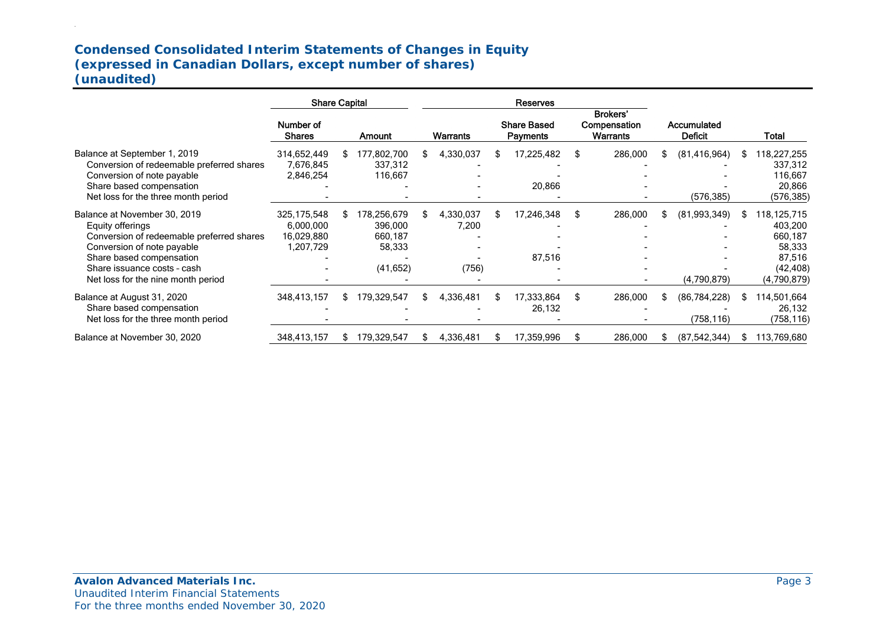# **Condensed Consolidated Interim Statements of Changes in Equity (expressed in Canadian Dollars, except number of shares) (unaudited)**

|                                                                                                                                                                                                                              | <b>Share Capital</b>                                  |    |                                                          |     | <b>Reserves</b>             |     |                                |     |                                                    |     |                               |     |                                                                                   |
|------------------------------------------------------------------------------------------------------------------------------------------------------------------------------------------------------------------------------|-------------------------------------------------------|----|----------------------------------------------------------|-----|-----------------------------|-----|--------------------------------|-----|----------------------------------------------------|-----|-------------------------------|-----|-----------------------------------------------------------------------------------|
|                                                                                                                                                                                                                              | Number of<br><b>Shares</b>                            |    | <b>Amount</b>                                            |     | Warrants                    |     | <b>Share Based</b><br>Payments |     | <b>Brokers'</b><br>Compensation<br><b>Warrants</b> |     | Accumulated<br><b>Deficit</b> |     | Total                                                                             |
| Balance at September 1, 2019<br>Conversion of redeemable preferred shares<br>Conversion of note payable<br>Share based compensation<br>Net loss for the three month period                                                   | 314,652,449<br>7,676,845<br>2,846,254                 |    | 177,802,700<br>337,312<br>116,667                        |     | 4,330,037                   | \$. | 17,225,482<br>20,866           | S   | 286,000                                            | S   | (81, 416, 964)<br>(576, 385)  | S.  | 118,227,255<br>337,312<br>116,667<br>20,866<br>(576, 385)                         |
| Balance at November 30, 2019<br>Equity offerings<br>Conversion of redeemable preferred shares<br>Conversion of note payable<br>Share based compensation<br>Share issuance costs - cash<br>Net loss for the nine month period | 325, 175, 548<br>6,000,000<br>16,029,880<br>1,207,729 | S  | 178,256,679<br>396,000<br>660,187<br>58,333<br>(41, 652) |     | 4,330,037<br>7,200<br>(756) | S.  | 17,246,348<br>87,516           | S   | 286,000                                            | S   | (81,993,349)<br>(4,790,879)   | S.  | 118,125,715<br>403,200<br>660,187<br>58,333<br>87,516<br>(42, 408)<br>(4,790,879) |
| Balance at August 31, 2020<br>Share based compensation<br>Net loss for the three month period                                                                                                                                | 348,413,157                                           | S. | 179,329,547                                              | SS. | 4,336,481                   | S.  | 17,333,864<br>26,132           | \$  | 286,000                                            | \$. | (86, 784, 228)<br>(758, 116)  | SS. | 114,501,664<br>26,132<br>(758, 116)                                               |
| Balance at November 30, 2020                                                                                                                                                                                                 | 348,413,157                                           |    | 179,329,547                                              |     | 4,336,481                   | \$  | 17,359,996                     | \$. | 286,000                                            |     | (87, 542, 344)                | S.  | 113,769,680                                                                       |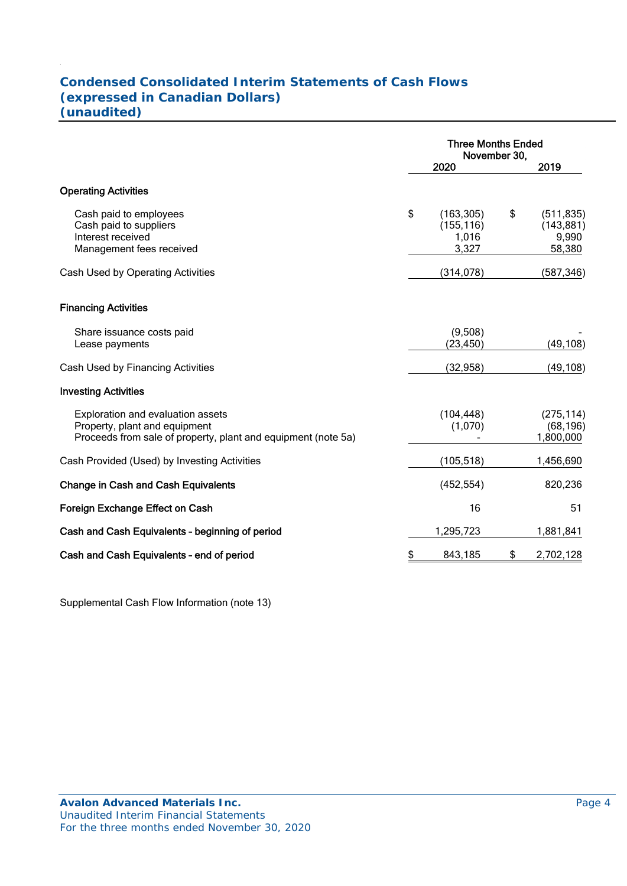# **Condensed Consolidated Interim Statements of Cash Flows (expressed in Canadian Dollars) (unaudited)**

|                                                                                                                                     | <b>Three Months Ended</b><br>November 30, |                                            |    |                                             |
|-------------------------------------------------------------------------------------------------------------------------------------|-------------------------------------------|--------------------------------------------|----|---------------------------------------------|
|                                                                                                                                     |                                           | 2020                                       |    | 2019                                        |
| <b>Operating Activities</b>                                                                                                         |                                           |                                            |    |                                             |
| Cash paid to employees<br>Cash paid to suppliers<br>Interest received<br>Management fees received                                   | \$                                        | (163, 305)<br>(155, 116)<br>1,016<br>3,327 | \$ | (511, 835)<br>(143, 881)<br>9,990<br>58,380 |
| Cash Used by Operating Activities                                                                                                   |                                           | (314, 078)                                 |    | (587, 346)                                  |
| <b>Financing Activities</b>                                                                                                         |                                           |                                            |    |                                             |
| Share issuance costs paid<br>Lease payments                                                                                         |                                           | (9,508)<br>(23, 450)                       |    | (49, 108)                                   |
| Cash Used by Financing Activities                                                                                                   |                                           | (32, 958)                                  |    | (49, 108)                                   |
| <b>Investing Activities</b>                                                                                                         |                                           |                                            |    |                                             |
| Exploration and evaluation assets<br>Property, plant and equipment<br>Proceeds from sale of property, plant and equipment (note 5a) |                                           | (104, 448)<br>(1,070)                      |    | (275, 114)<br>(68, 196)<br>1,800,000        |
| Cash Provided (Used) by Investing Activities                                                                                        |                                           | (105, 518)                                 |    | 1,456,690                                   |
| <b>Change in Cash and Cash Equivalents</b>                                                                                          |                                           | (452, 554)                                 |    | 820,236                                     |
| Foreign Exchange Effect on Cash                                                                                                     |                                           | 16                                         |    | 51                                          |
| Cash and Cash Equivalents - beginning of period                                                                                     |                                           | 1,295,723                                  |    | 1,881,841                                   |
| Cash and Cash Equivalents - end of period                                                                                           | \$                                        | 843,185                                    | \$ | 2,702,128                                   |

Supplemental Cash Flow Information (note 13)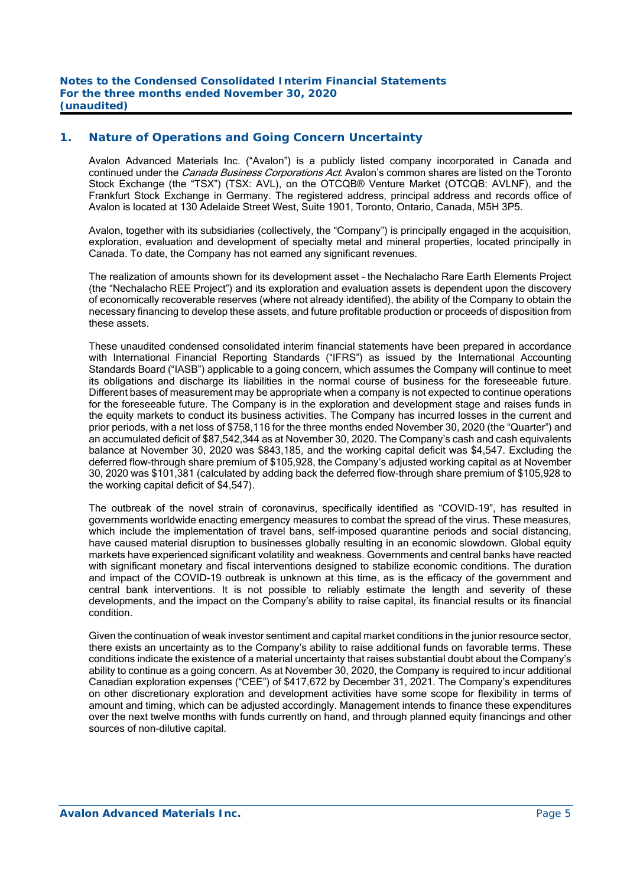## **1. Nature of Operations and Going Concern Uncertainty**

Avalon Advanced Materials Inc. ("Avalon") is a publicly listed company incorporated in Canada and continued under the *Canada Business Corporations Act*. Avalon's common shares are listed on the Toronto Stock Exchange (the "TSX") (TSX: AVL), on the OTCQB® Venture Market (OTCQB: AVLNF), and the Frankfurt Stock Exchange in Germany. The registered address, principal address and records office of Avalon is located at 130 Adelaide Street West, Suite 1901, Toronto, Ontario, Canada, M5H 3P5.

Avalon, together with its subsidiaries (collectively, the "Company") is principally engaged in the acquisition, exploration, evaluation and development of specialty metal and mineral properties, located principally in Canada. To date, the Company has not earned any significant revenues.

The realization of amounts shown for its development asset – the Nechalacho Rare Earth Elements Project (the "Nechalacho REE Project") and its exploration and evaluation assets is dependent upon the discovery of economically recoverable reserves (where not already identified), the ability of the Company to obtain the necessary financing to develop these assets, and future profitable production or proceeds of disposition from these assets.

These unaudited condensed consolidated interim financial statements have been prepared in accordance with International Financial Reporting Standards ("IFRS") as issued by the International Accounting Standards Board ("IASB") applicable to a going concern, which assumes the Company will continue to meet its obligations and discharge its liabilities in the normal course of business for the foreseeable future. Different bases of measurement may be appropriate when a company is not expected to continue operations for the foreseeable future. The Company is in the exploration and development stage and raises funds in the equity markets to conduct its business activities. The Company has incurred losses in the current and prior periods, with a net loss of \$758,116 for the three months ended November 30, 2020 (the "Quarter") and an accumulated deficit of \$87,542,344 as at November 30, 2020. The Company's cash and cash equivalents balance at November 30, 2020 was \$843,185, and the working capital deficit was \$4,547. Excluding the deferred flow-through share premium of \$105,928, the Company's adjusted working capital as at November 30, 2020 was \$101,381 (calculated by adding back the deferred flow-through share premium of \$105,928 to the working capital deficit of \$4,547).

The outbreak of the novel strain of coronavirus, specifically identified as "COVID-19", has resulted in governments worldwide enacting emergency measures to combat the spread of the virus. These measures, which include the implementation of travel bans, self-imposed quarantine periods and social distancing, have caused material disruption to businesses globally resulting in an economic slowdown. Global equity markets have experienced significant volatility and weakness. Governments and central banks have reacted with significant monetary and fiscal interventions designed to stabilize economic conditions. The duration and impact of the COVID-19 outbreak is unknown at this time, as is the efficacy of the government and central bank interventions. It is not possible to reliably estimate the length and severity of these developments, and the impact on the Company's ability to raise capital, its financial results or its financial condition.

Given the continuation of weak investor sentiment and capital market conditions in the junior resource sector, there exists an uncertainty as to the Company's ability to raise additional funds on favorable terms. These conditions indicate the existence of a material uncertainty that raises substantial doubt about the Company's ability to continue as a going concern. As at November 30, 2020, the Company is required to incur additional Canadian exploration expenses ("CEE") of \$417,672 by December 31, 2021. The Company's expenditures on other discretionary exploration and development activities have some scope for flexibility in terms of amount and timing, which can be adjusted accordingly. Management intends to finance these expenditures over the next twelve months with funds currently on hand, and through planned equity financings and other sources of non-dilutive capital.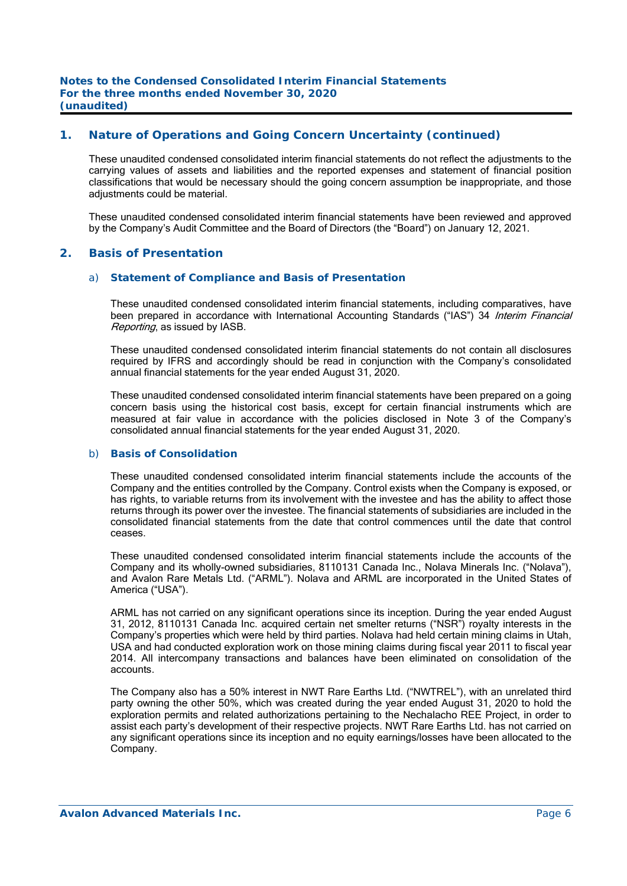## **1. Nature of Operations and Going Concern Uncertainty (continued)**

These unaudited condensed consolidated interim financial statements do not reflect the adjustments to the carrying values of assets and liabilities and the reported expenses and statement of financial position classifications that would be necessary should the going concern assumption be inappropriate, and those adjustments could be material.

These unaudited condensed consolidated interim financial statements have been reviewed and approved by the Company's Audit Committee and the Board of Directors (the "Board") on January 12, 2021.

#### **2. Basis of Presentation**

#### a) *Statement of Compliance and Basis of Presentation*

 These unaudited condensed consolidated interim financial statements, including comparatives, have been prepared in accordance with International Accounting Standards ("IAS") 34 Interim Financial Reporting, as issued by IASB.

 These unaudited condensed consolidated interim financial statements do not contain all disclosures required by IFRS and accordingly should be read in conjunction with the Company's consolidated annual financial statements for the year ended August 31, 2020.

These unaudited condensed consolidated interim financial statements have been prepared on a going concern basis using the historical cost basis, except for certain financial instruments which are measured at fair value in accordance with the policies disclosed in Note 3 of the Company's consolidated annual financial statements for the year ended August 31, 2020.

#### b) *Basis of Consolidation*

 These unaudited condensed consolidated interim financial statements include the accounts of the Company and the entities controlled by the Company. Control exists when the Company is exposed, or has rights, to variable returns from its involvement with the investee and has the ability to affect those returns through its power over the investee. The financial statements of subsidiaries are included in the consolidated financial statements from the date that control commences until the date that control ceases.

 These unaudited condensed consolidated interim financial statements include the accounts of the Company and its wholly-owned subsidiaries, 8110131 Canada Inc., Nolava Minerals Inc. ("Nolava"), and Avalon Rare Metals Ltd. ("ARML"). Nolava and ARML are incorporated in the United States of America ("USA").

 ARML has not carried on any significant operations since its inception. During the year ended August 31, 2012, 8110131 Canada Inc. acquired certain net smelter returns ("NSR") royalty interests in the Company's properties which were held by third parties. Nolava had held certain mining claims in Utah, USA and had conducted exploration work on those mining claims during fiscal year 2011 to fiscal year 2014. All intercompany transactions and balances have been eliminated on consolidation of the accounts.

 The Company also has a 50% interest in NWT Rare Earths Ltd. ("NWTREL"), with an unrelated third party owning the other 50%, which was created during the year ended August 31, 2020 to hold the exploration permits and related authorizations pertaining to the Nechalacho REE Project, in order to assist each party's development of their respective projects. NWT Rare Earths Ltd. has not carried on any significant operations since its inception and no equity earnings/losses have been allocated to the Company.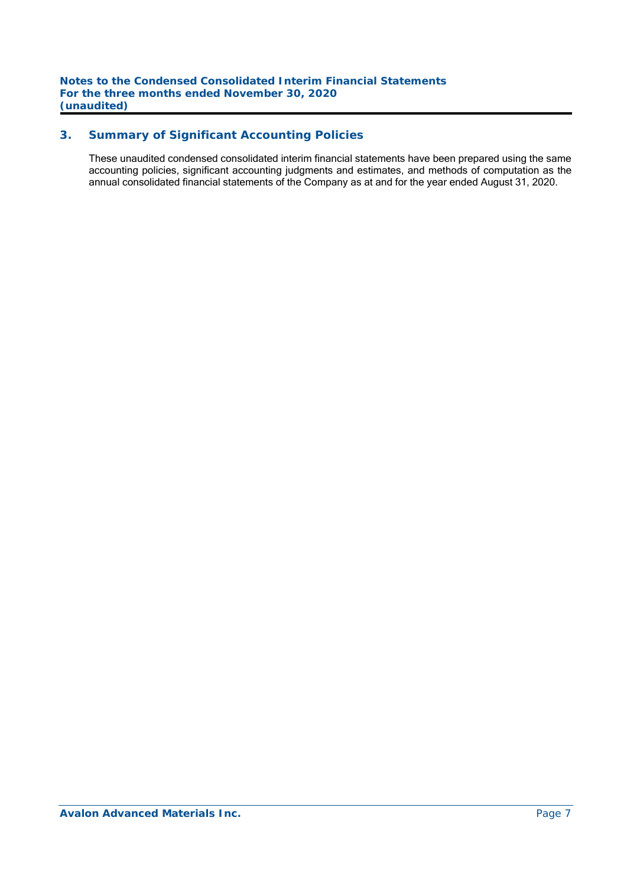# **3. Summary of Significant Accounting Policies**

These unaudited condensed consolidated interim financial statements have been prepared using the same accounting policies, significant accounting judgments and estimates, and methods of computation as the annual consolidated financial statements of the Company as at and for the year ended August 31, 2020.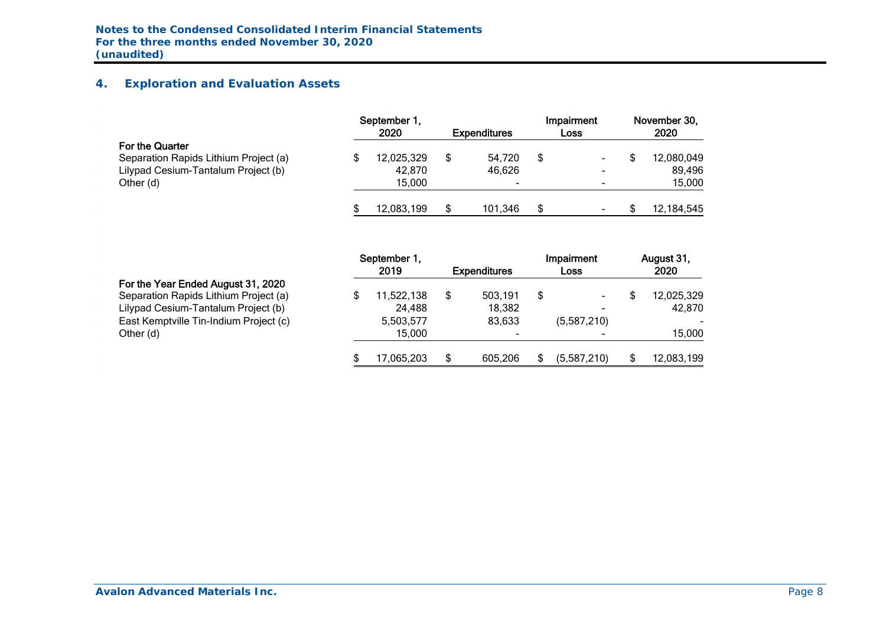# **4. Exploration and Evaluation Assets**

|                                                                                                 | September 1.<br>2020 | <b>Expenditures</b> | Impairment<br>Loss | November 30,<br>2020 |
|-------------------------------------------------------------------------------------------------|----------------------|---------------------|--------------------|----------------------|
| For the Quarter<br>Separation Rapids Lithium Project (a)<br>Lilypad Cesium-Tantalum Project (b) | 12,025,329<br>42,870 | 54,720<br>46.626    | \$                 | 12,080,049<br>89.496 |
| Other (d)                                                                                       | 15.000               | ۰                   |                    | 15,000               |
|                                                                                                 | 12.083.199           | 101.346             | \$<br>-            | 12,184,545           |

|  |  |  | For the Year Ended August 31, 2020 |  |  |
|--|--|--|------------------------------------|--|--|
|--|--|--|------------------------------------|--|--|

|                                                                                                                                                                           | September 1,<br>2019                        | <b>Expenditures</b>         | Impairment<br>Loss     | August 31,<br>2020             |
|---------------------------------------------------------------------------------------------------------------------------------------------------------------------------|---------------------------------------------|-----------------------------|------------------------|--------------------------------|
| For the Year Ended August 31, 2020<br>Separation Rapids Lithium Project (a)<br>Lilypad Cesium-Tantalum Project (b)<br>East Kemptville Tin-Indium Project (c)<br>Other (d) | 11,522,138<br>24,488<br>5,503,577<br>15.000 | 503,191<br>18,382<br>83.633 | \$<br>-<br>(5,587,210) | 12,025,329<br>42,870<br>15,000 |
|                                                                                                                                                                           | 17,065,203                                  | 605,206                     | (5,587,210)            | 12,083,199                     |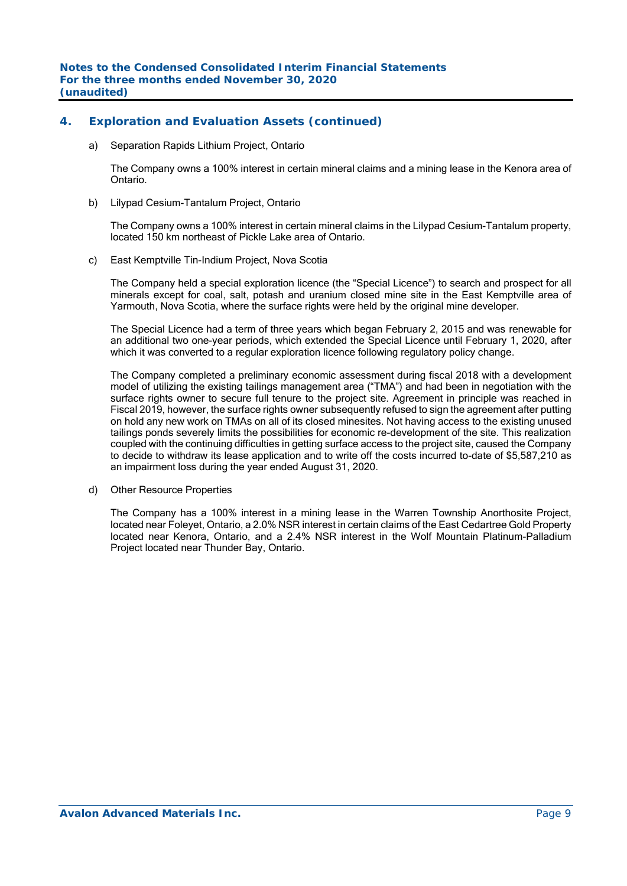## **4. Exploration and Evaluation Assets (continued)**

a) Separation Rapids Lithium Project, Ontario

The Company owns a 100% interest in certain mineral claims and a mining lease in the Kenora area of Ontario.

b) Lilypad Cesium-Tantalum Project, Ontario

The Company owns a 100% interest in certain mineral claims in the Lilypad Cesium-Tantalum property, located 150 km northeast of Pickle Lake area of Ontario.

c) East Kemptville Tin-Indium Project, Nova Scotia

The Company held a special exploration licence (the "Special Licence") to search and prospect for all minerals except for coal, salt, potash and uranium closed mine site in the East Kemptville area of Yarmouth, Nova Scotia, where the surface rights were held by the original mine developer.

The Special Licence had a term of three years which began February 2, 2015 and was renewable for an additional two one-year periods, which extended the Special Licence until February 1, 2020, after which it was converted to a regular exploration licence following regulatory policy change.

The Company completed a preliminary economic assessment during fiscal 2018 with a development model of utilizing the existing tailings management area ("TMA") and had been in negotiation with the surface rights owner to secure full tenure to the project site. Agreement in principle was reached in Fiscal 2019, however, the surface rights owner subsequently refused to sign the agreement after putting on hold any new work on TMAs on all of its closed minesites. Not having access to the existing unused tailings ponds severely limits the possibilities for economic re-development of the site. This realization coupled with the continuing difficulties in getting surface access to the project site, caused the Company to decide to withdraw its lease application and to write off the costs incurred to-date of \$5,587,210 as an impairment loss during the year ended August 31, 2020.

d) Other Resource Properties

The Company has a 100% interest in a mining lease in the Warren Township Anorthosite Project, located near Foleyet, Ontario, a 2.0% NSR interest in certain claims of the East Cedartree Gold Property located near Kenora, Ontario, and a 2.4% NSR interest in the Wolf Mountain Platinum-Palladium Project located near Thunder Bay, Ontario.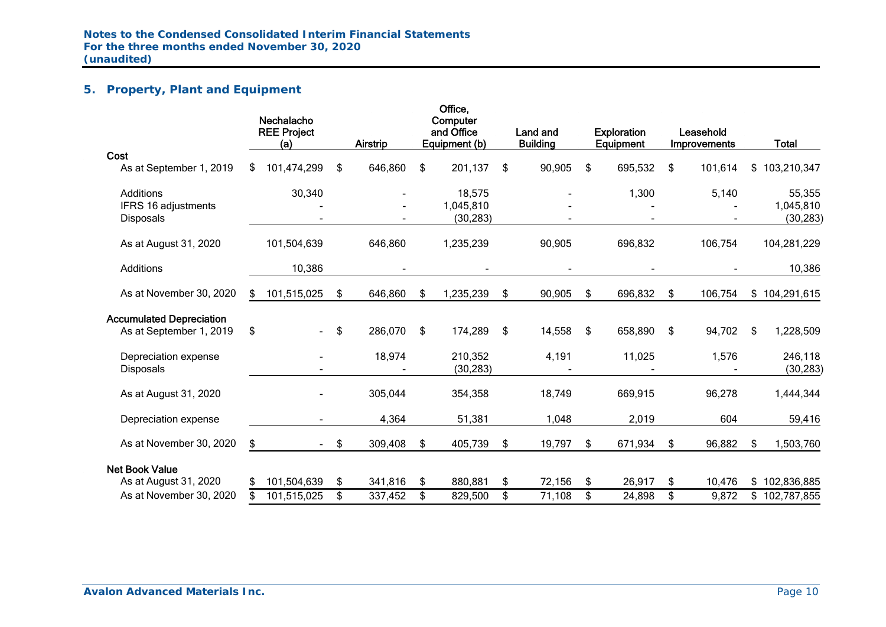# **5. Property, Plant and Equipment**

|                                                             |    | Nechalacho<br><b>REE Project</b><br>(a) |                         | <b>Airstrip</b> |               | Office,<br>Computer<br>and Office<br>Equipment (b) | Land and<br><b>Building</b> | <b>Exploration</b><br>Equipment | Leasehold<br><b>Improvements</b> |     | <b>Total</b>                     |
|-------------------------------------------------------------|----|-----------------------------------------|-------------------------|-----------------|---------------|----------------------------------------------------|-----------------------------|---------------------------------|----------------------------------|-----|----------------------------------|
| Cost<br>As at September 1, 2019                             | S. | 101,474,299                             | \$                      | 646,860         | \$            | 201,137                                            | \$<br>90,905                | \$<br>695,532                   | \$<br>101,614                    |     | \$103,210,347                    |
| <b>Additions</b><br>IFRS 16 adjustments<br><b>Disposals</b> |    | 30,340                                  |                         |                 |               | 18,575<br>1,045,810<br>(30, 283)                   |                             | 1,300                           | 5,140                            |     | 55,355<br>1,045,810<br>(30, 283) |
| As at August 31, 2020                                       |    | 101,504,639                             |                         | 646,860         |               | 1,235,239                                          | 90,905                      | 696,832                         | 106,754                          |     | 104,281,229                      |
| <b>Additions</b>                                            |    | 10,386                                  |                         |                 |               |                                                    |                             |                                 |                                  |     | 10,386                           |
| As at November 30, 2020                                     | \$ | 101,515,025                             | \$                      | 646,860         | \$            | 1,235,239                                          | \$<br>90,905                | \$<br>696,832                   | \$<br>106,754                    |     | \$104,291,615                    |
| <b>Accumulated Depreciation</b><br>As at September 1, 2019  | \$ |                                         | \$                      | 286,070         | \$            | 174,289                                            | \$<br>14,558                | \$<br>658,890                   | \$<br>94,702                     | -\$ | 1,228,509                        |
| Depreciation expense<br><b>Disposals</b>                    |    |                                         |                         | 18,974          |               | 210,352<br>(30, 283)                               | 4,191                       | 11,025                          | 1,576                            |     | 246,118<br>(30, 283)             |
| As at August 31, 2020                                       |    |                                         |                         | 305,044         |               | 354,358                                            | 18,749                      | 669,915                         | 96,278                           |     | 1,444,344                        |
| Depreciation expense                                        |    |                                         |                         | 4,364           |               | 51,381                                             | 1,048                       | 2,019                           | 604                              |     | 59,416                           |
| As at November 30, 2020                                     | \$ | $\sim 100$                              | $\sqrt[6]{\frac{1}{2}}$ | 309,408         | $\frac{1}{2}$ | 405,739                                            | \$<br>19,797                | \$<br>671,934                   | \$<br>96,882                     | \$  | 1,503,760                        |
| <b>Net Book Value</b>                                       |    |                                         |                         |                 |               |                                                    |                             |                                 |                                  |     |                                  |
| As at August 31, 2020                                       | \$ | 101,504,639                             | \$                      | 341,816         | \$            | 880,881                                            | \$<br>72,156                | \$<br>26,917                    | \$<br>10,476                     |     | \$102,836,885                    |
| As at November 30, 2020                                     |    | 101,515,025                             | \$                      | 337,452         | \$            | 829,500                                            | \$<br>71,108                | \$<br>24,898                    | \$<br>9,872                      |     | \$102,787,855                    |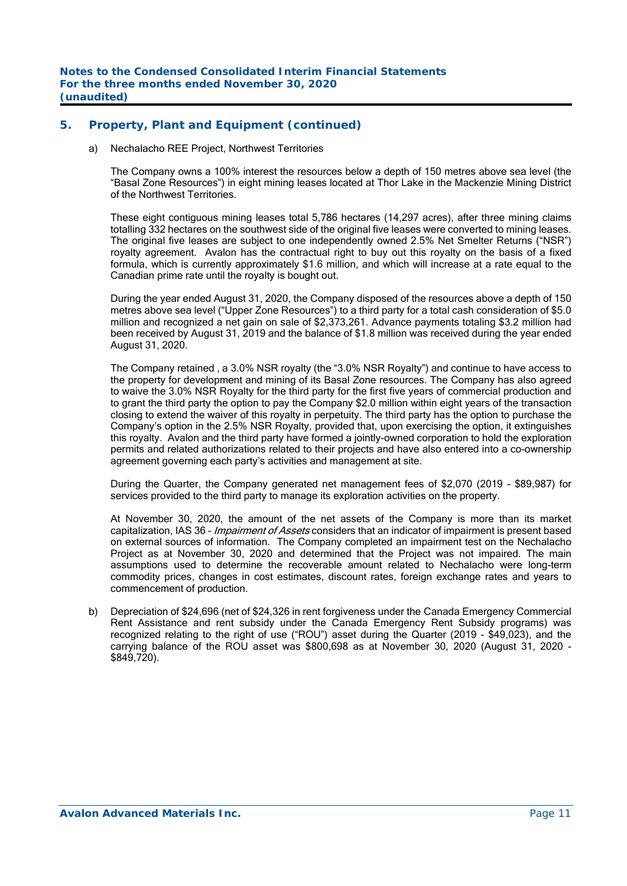## **5. Property, Plant and Equipment (continued)**

a) Nechalacho REE Project, Northwest Territories

The Company owns a 100% interest the resources below a depth of 150 metres above sea level (the "Basal Zone Resources") in eight mining leases located at Thor Lake in the Mackenzie Mining District of the Northwest Territories.

These eight contiguous mining leases total 5,786 hectares (14,297 acres), after three mining claims totalling 332 hectares on the southwest side of the original five leases were converted to mining leases. The original five leases are subject to one independently owned 2.5% Net Smelter Returns ("NSR") royalty agreement. Avalon has the contractual right to buy out this royalty on the basis of a fixed formula, which is currently approximately \$1.6 million, and which will increase at a rate equal to the Canadian prime rate until the royalty is bought out.

 During the year ended August 31, 2020, the Company disposed of the resources above a depth of 150 metres above sea level ("Upper Zone Resources") to a third party for a total cash consideration of \$5.0 million and recognized a net gain on sale of \$2,373,261. Advance payments totaling \$3.2 million had been received by August 31, 2019 and the balance of \$1.8 million was received during the year ended August 31, 2020.

 The Company retained , a 3.0% NSR royalty (the "3.0% NSR Royalty") and continue to have access to the property for development and mining of its Basal Zone resources. The Company has also agreed to waive the 3.0% NSR Royalty for the third party for the first five years of commercial production and to grant the third party the option to pay the Company \$2.0 million within eight years of the transaction closing to extend the waiver of this royalty in perpetuity. The third party has the option to purchase the Company's option in the 2.5% NSR Royalty, provided that, upon exercising the option, it extinguishes this royalty. Avalon and the third party have formed a jointly-owned corporation to hold the exploration permits and related authorizations related to their projects and have also entered into a co-ownership agreement governing each party's activities and management at site.

 During the Quarter, the Company generated net management fees of \$2,070 (2019 - \$89,987) for services provided to the third party to manage its exploration activities on the property.

 At November 30, 2020, the amount of the net assets of the Company is more than its market capitalization, IAS 36 - *Impairment of Assets* considers that an indicator of impairment is present based on external sources of information. The Company completed an impairment test on the Nechalacho Project as at November 30, 2020 and determined that the Project was not impaired. The main assumptions used to determine the recoverable amount related to Nechalacho were long-term commodity prices, changes in cost estimates, discount rates, foreign exchange rates and years to commencement of production.

b) Depreciation of \$24,696 (net of \$24,326 in rent forgiveness under the Canada Emergency Commercial Rent Assistance and rent subsidy under the Canada Emergency Rent Subsidy programs) was recognized relating to the right of use ("ROU") asset during the Quarter (2019 - \$49,023), and the carrying balance of the ROU asset was \$800,698 as at November 30, 2020 (August 31, 2020 - \$849,720).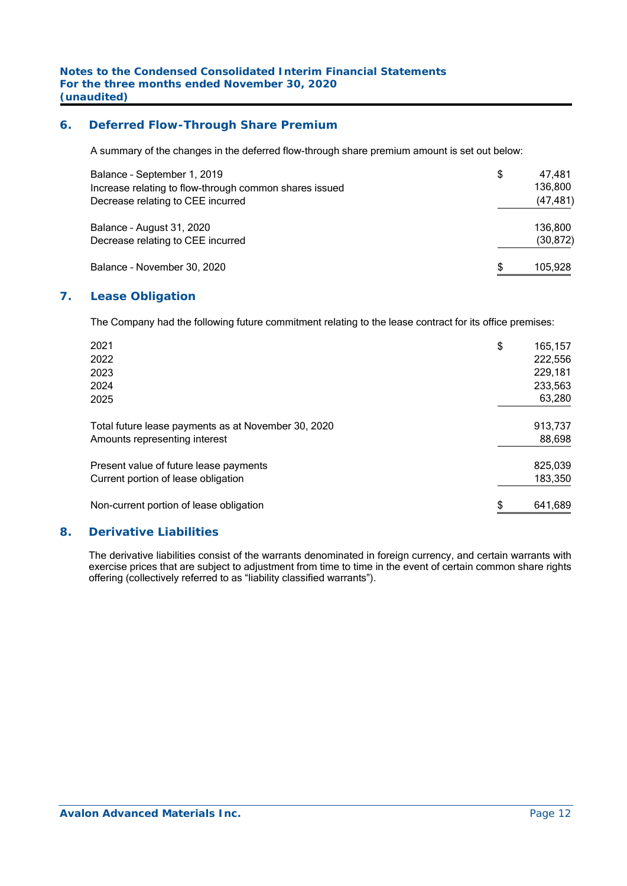## **6. Deferred Flow-Through Share Premium**

A summary of the changes in the deferred flow-through share premium amount is set out below:

| Balance - September 1, 2019<br>Increase relating to flow-through common shares issued<br>Decrease relating to CEE incurred | S | 47.481<br>136,800<br>(47, 481) |
|----------------------------------------------------------------------------------------------------------------------------|---|--------------------------------|
| Balance - August 31, 2020<br>Decrease relating to CEE incurred                                                             |   | 136.800<br>(30, 872)           |
| Balance - November 30, 2020                                                                                                |   | 105,928                        |

## **7. Lease Obligation**

The Company had the following future commitment relating to the lease contract for its office premises:

| 2021                                                | \$<br>165,157 |
|-----------------------------------------------------|---------------|
| 2022                                                | 222,556       |
| 2023                                                | 229,181       |
| 2024                                                | 233,563       |
| 2025                                                | 63,280        |
| Total future lease payments as at November 30, 2020 | 913,737       |
| Amounts representing interest                       | 88,698        |
| Present value of future lease payments              | 825,039       |
| Current portion of lease obligation                 | 183,350       |
| Non-current portion of lease obligation             | \$<br>641,689 |

#### **8. Derivative Liabilities**

The derivative liabilities consist of the warrants denominated in foreign currency, and certain warrants with exercise prices that are subject to adjustment from time to time in the event of certain common share rights offering (collectively referred to as "liability classified warrants").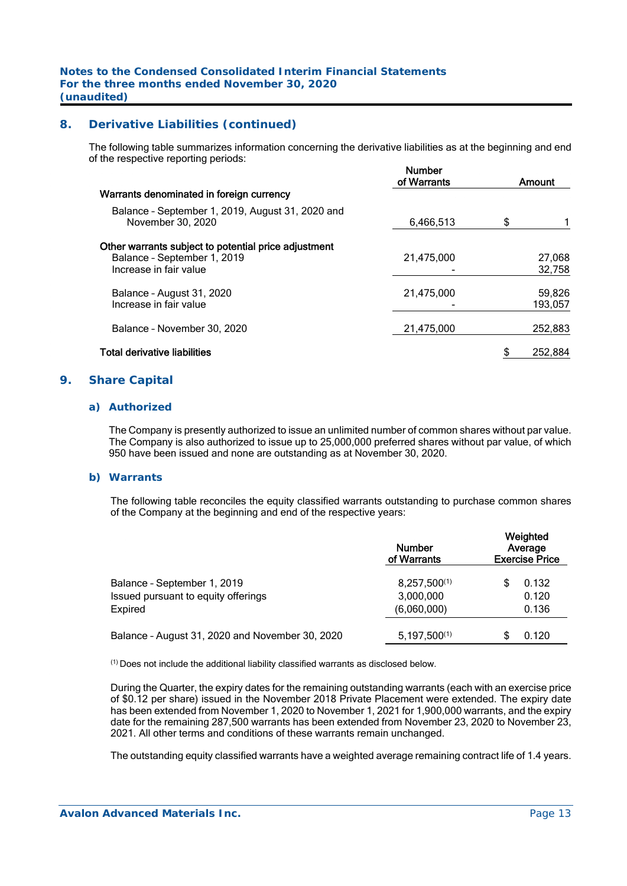## **8. Derivative Liabilities (continued)**

The following table summarizes information concerning the derivative liabilities as at the beginning and end of the respective reporting periods:

|                                                                                                               | <b>Number</b><br>of Warrants | Amount            |
|---------------------------------------------------------------------------------------------------------------|------------------------------|-------------------|
| Warrants denominated in foreign currency                                                                      |                              |                   |
| Balance - September 1, 2019, August 31, 2020 and<br>November 30, 2020                                         | 6,466,513                    | \$                |
| Other warrants subject to potential price adjustment<br>Balance - September 1, 2019<br>Increase in fair value | 21,475,000                   | 27,068<br>32,758  |
| Balance - August 31, 2020<br>Increase in fair value                                                           | 21,475,000                   | 59,826<br>193,057 |
| Balance - November 30, 2020                                                                                   | 21,475,000                   | 252,883           |
| <b>Total derivative liabilities</b>                                                                           |                              | 252,884           |

#### **9. Share Capital**

#### *a) Authorized*

 The Company is presently authorized to issue an unlimited number of common shares without par value. The Company is also authorized to issue up to 25,000,000 preferred shares without par value, of which 950 have been issued and none are outstanding as at November 30, 2020.

#### *b) Warrants*

The following table reconciles the equity classified warrants outstanding to purchase common shares of the Company at the beginning and end of the respective years:

|                                                 | <b>Number</b><br>of Warrants | Weighted<br>Average<br><b>Exercise Price</b> |
|-------------------------------------------------|------------------------------|----------------------------------------------|
| Balance - September 1, 2019                     | $8,257,500^{(1)}$            | 0.132                                        |
| Issued pursuant to equity offerings             | 3,000,000                    | 0.120                                        |
| Expired                                         | (6,060,000)                  | 0.136                                        |
| Balance - August 31, 2020 and November 30, 2020 | $5,197,500^{(1)}$            | 0.120                                        |

(1) Does not include the additional liability classified warrants as disclosed below.

During the Quarter, the expiry dates for the remaining outstanding warrants (each with an exercise price of \$0.12 per share) issued in the November 2018 Private Placement were extended. The expiry date has been extended from November 1, 2020 to November 1, 2021 for 1,900,000 warrants, and the expiry date for the remaining 287,500 warrants has been extended from November 23, 2020 to November 23, 2021. All other terms and conditions of these warrants remain unchanged.

The outstanding equity classified warrants have a weighted average remaining contract life of 1.4 years.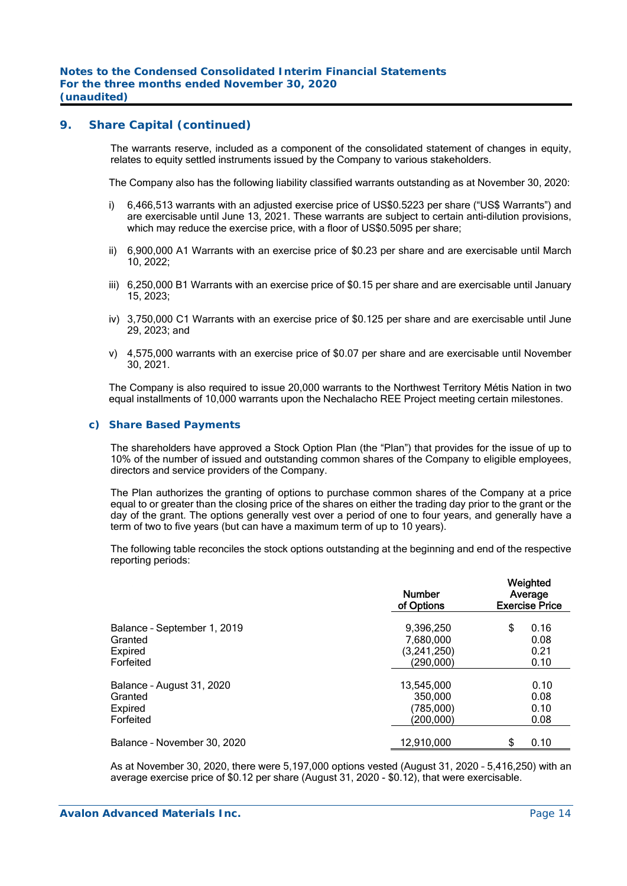### **9. Share Capital (continued)**

The warrants reserve, included as a component of the consolidated statement of changes in equity, relates to equity settled instruments issued by the Company to various stakeholders.

The Company also has the following liability classified warrants outstanding as at November 30, 2020:

- i) 6,466,513 warrants with an adjusted exercise price of US\$0.5223 per share ("US\$ Warrants") and are exercisable until June 13, 2021. These warrants are subject to certain anti-dilution provisions, which may reduce the exercise price, with a floor of US\$0.5095 per share;
- ii) 6,900,000 A1 Warrants with an exercise price of \$0.23 per share and are exercisable until March 10, 2022;
- iii) 6,250,000 B1 Warrants with an exercise price of \$0.15 per share and are exercisable until January 15, 2023;
- iv) 3,750,000 C1 Warrants with an exercise price of \$0.125 per share and are exercisable until June 29, 2023; and
- v) 4,575,000 warrants with an exercise price of \$0.07 per share and are exercisable until November 30, 2021.

The Company is also required to issue 20,000 warrants to the Northwest Territory Métis Nation in two equal installments of 10,000 warrants upon the Nechalacho REE Project meeting certain milestones.

#### *c) Share Based Payments*

The shareholders have approved a Stock Option Plan (the "Plan") that provides for the issue of up to 10% of the number of issued and outstanding common shares of the Company to eligible employees, directors and service providers of the Company.

The Plan authorizes the granting of options to purchase common shares of the Company at a price equal to or greater than the closing price of the shares on either the trading day prior to the grant or the day of the grant. The options generally vest over a period of one to four years, and generally have a term of two to five years (but can have a maximum term of up to 10 years).

The following table reconciles the stock options outstanding at the beginning and end of the respective reporting periods:

|                                                                | <b>Number</b><br>of Options                        | Weighted<br>Average<br><b>Exercise Price</b> |  |  |  |
|----------------------------------------------------------------|----------------------------------------------------|----------------------------------------------|--|--|--|
| Balance - September 1, 2019<br>Granted<br>Expired<br>Forfeited | 9,396,250<br>7,680,000<br>(3,241,250)<br>(290,000) | \$<br>0.16<br>0.08<br>0.21<br>0.10           |  |  |  |
| Balance - August 31, 2020<br>Granted<br>Expired<br>Forfeited   | 13,545,000<br>350,000<br>(785,000)<br>(200,000)    | 0.10<br>0.08<br>0.10<br>0.08                 |  |  |  |
| Balance - November 30, 2020                                    | 12,910,000                                         | 0.10                                         |  |  |  |

As at November 30, 2020, there were 5,197,000 options vested (August 31, 2020 – 5,416,250) with an average exercise price of \$0.12 per share (August 31, 2020 - \$0.12), that were exercisable.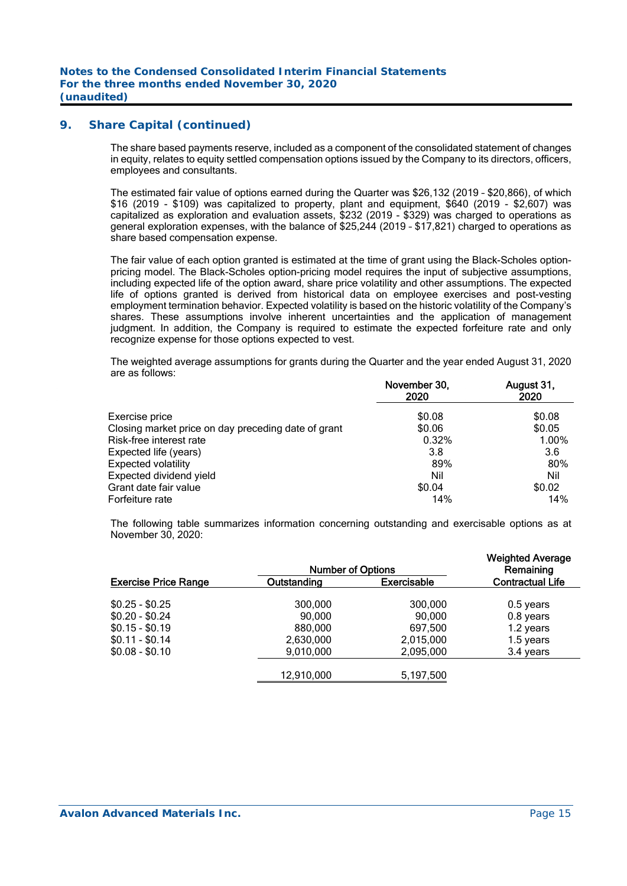## **9. Share Capital (continued)**

The share based payments reserve, included as a component of the consolidated statement of changes in equity, relates to equity settled compensation options issued by the Company to its directors, officers, employees and consultants.

The estimated fair value of options earned during the Quarter was \$26,132 (2019 – \$20,866), of which \$16 (2019 - \$109) was capitalized to property, plant and equipment, \$640 (2019 - \$2,607) was capitalized as exploration and evaluation assets, \$232 (2019 - \$329) was charged to operations as general exploration expenses, with the balance of \$25,244 (2019 – \$17,821) charged to operations as share based compensation expense.

The fair value of each option granted is estimated at the time of grant using the Black-Scholes optionpricing model. The Black-Scholes option-pricing model requires the input of subjective assumptions, including expected life of the option award, share price volatility and other assumptions. The expected life of options granted is derived from historical data on employee exercises and post-vesting employment termination behavior. Expected volatility is based on the historic volatility of the Company's shares. These assumptions involve inherent uncertainties and the application of management judgment. In addition, the Company is required to estimate the expected forfeiture rate and only recognize expense for those options expected to vest.

The weighted average assumptions for grants during the Quarter and the year ended August 31, 2020 are as follows:

| November 30,<br>2020 | August 31,<br>2020 |
|----------------------|--------------------|
| \$0.08               | \$0.08             |
| \$0.06               | \$0.05             |
| 0.32%                | 1.00%              |
| 3.8                  | 3.6                |
| 89%                  | 80%                |
| Nil                  | Nil                |
| \$0.04               | \$0.02             |
| 14%                  | 14%                |
|                      |                    |

The following table summarizes information concerning outstanding and exercisable options as at November 30, 2020:

|                             | <b>Weighted Average</b><br>Remaining |                    |                         |
|-----------------------------|--------------------------------------|--------------------|-------------------------|
| <b>Exercise Price Range</b> | Outstanding                          | <b>Exercisable</b> | <b>Contractual Life</b> |
| $$0.25 - $0.25$             | 300,000                              | 300,000            | 0.5 years               |
| $$0.20 - $0.24$             | 90,000                               | 90,000             | 0.8 years               |
| $$0.15 - $0.19$             | 880,000                              | 697,500            | 1.2 years               |
| $$0.11 - $0.14$             | 2,630,000                            | 2,015,000          | 1.5 years               |
| $$0.08 - $0.10$             | 9,010,000                            | 2,095,000          | 3.4 years               |
|                             | 12,910,000                           | 5,197,500          |                         |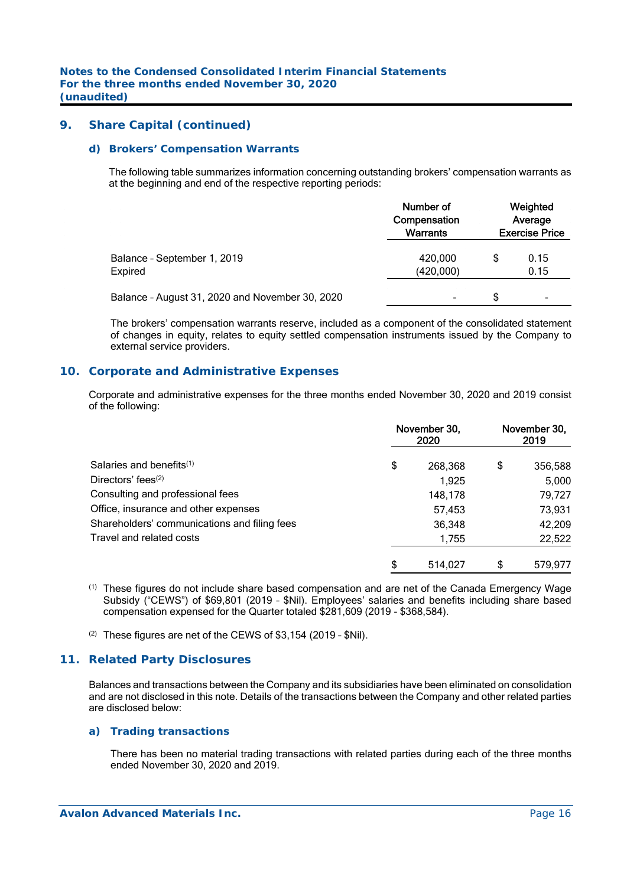### **9. Share Capital (continued)**

#### *d) Brokers' Compensation Warrants*

The following table summarizes information concerning outstanding brokers' compensation warrants as at the beginning and end of the respective reporting periods:

|                                                 | Number of<br>Compensation<br><b>Warrants</b> | Weighted<br>Average<br><b>Exercise Price</b> |              |  |
|-------------------------------------------------|----------------------------------------------|----------------------------------------------|--------------|--|
| Balance - September 1, 2019<br>Expired          | 420,000<br>(420,000)                         | \$                                           | 0.15<br>0.15 |  |
| Balance - August 31, 2020 and November 30, 2020 | ۰                                            | \$.                                          | ۰            |  |

The brokers' compensation warrants reserve, included as a component of the consolidated statement of changes in equity, relates to equity settled compensation instruments issued by the Company to external service providers.

#### **10. Corporate and Administrative Expenses**

Corporate and administrative expenses for the three months ended November 30, 2020 and 2019 consist of the following:

|                                              | November 30,<br>2020 | November 30,<br>2019 |         |  |
|----------------------------------------------|----------------------|----------------------|---------|--|
| Salaries and benefits $(1)$                  | \$<br>268,368        | \$                   | 356,588 |  |
| Directors' fees $(2)$                        | 1.925                |                      | 5,000   |  |
| Consulting and professional fees             | 148,178              |                      | 79,727  |  |
| Office, insurance and other expenses         | 57,453               |                      | 73,931  |  |
| Shareholders' communications and filing fees | 36,348               |                      | 42,209  |  |
| Travel and related costs                     | 1,755                |                      | 22,522  |  |
|                                              | 514.027              | S                    | 579.977 |  |

- (1) These figures do not include share based compensation and are net of the Canada Emergency Wage Subsidy ("CEWS") of \$69,801 (2019 – \$Nil). Employees' salaries and benefits including share based compensation expensed for the Quarter totaled \$281,609 (2019 - \$368,584).
- (2) These figures are net of the CEWS of \$3,154 (2019 \$Nil).

## **11. Related Party Disclosures**

Balances and transactions between the Company and its subsidiaries have been eliminated on consolidation and are not disclosed in this note. Details of the transactions between the Company and other related parties are disclosed below:

#### *a) Trading transactions*

There has been no material trading transactions with related parties during each of the three months ended November 30, 2020 and 2019.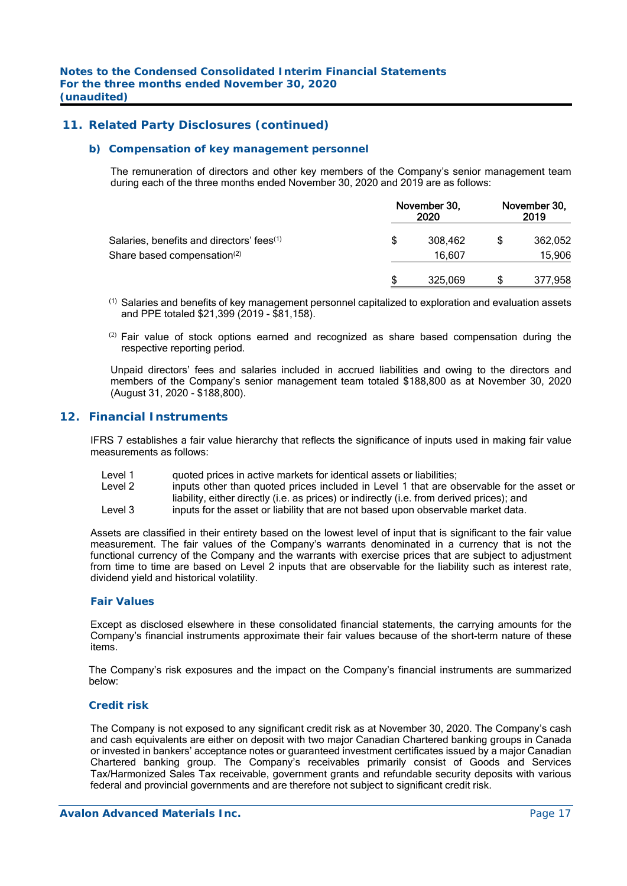### **11. Related Party Disclosures (continued)**

#### *b) Compensation of key management personnel*

The remuneration of directors and other key members of the Company's senior management team during each of the three months ended November 30, 2020 and 2019 are as follows:

|                                                       | November 30, | November 30,<br>2019 |  |         |
|-------------------------------------------------------|--------------|----------------------|--|---------|
| Salaries, benefits and directors' fees <sup>(1)</sup> | \$           | 308.462              |  | 362,052 |
| Share based compensation <sup>(2)</sup>               |              | 16,607               |  | 15,906  |
|                                                       | S            | 325,069              |  | 377,958 |

- (1) Salaries and benefits of key management personnel capitalized to exploration and evaluation assets and PPE totaled \$21,399 (2019 - \$81,158).
- $(2)$  Fair value of stock options earned and recognized as share based compensation during the respective reporting period.

Unpaid directors' fees and salaries included in accrued liabilities and owing to the directors and members of the Company's senior management team totaled \$188,800 as at November 30, 2020 (August 31, 2020 - \$188,800).

#### **12. Financial Instruments**

IFRS 7 establishes a fair value hierarchy that reflects the significance of inputs used in making fair value measurements as follows:

- Level 1 guoted prices in active markets for identical assets or liabilities;
- Level 2 inputs other than quoted prices included in Level 1 that are observable for the asset or liability, either directly (i.e. as prices) or indirectly (i.e. from derived prices); and
- Level 3 inputs for the asset or liability that are not based upon observable market data.

Assets are classified in their entirety based on the lowest level of input that is significant to the fair value measurement. The fair values of the Company's warrants denominated in a currency that is not the functional currency of the Company and the warrants with exercise prices that are subject to adjustment from time to time are based on Level 2 inputs that are observable for the liability such as interest rate, dividend yield and historical volatility.

#### *Fair Values*

Except as disclosed elsewhere in these consolidated financial statements, the carrying amounts for the Company's financial instruments approximate their fair values because of the short-term nature of these items.

The Company's risk exposures and the impact on the Company's financial instruments are summarized below:

#### *Credit risk*

The Company is not exposed to any significant credit risk as at November 30, 2020. The Company's cash and cash equivalents are either on deposit with two major Canadian Chartered banking groups in Canada or invested in bankers' acceptance notes or guaranteed investment certificates issued by a major Canadian Chartered banking group. The Company's receivables primarily consist of Goods and Services Tax/Harmonized Sales Tax receivable, government grants and refundable security deposits with various federal and provincial governments and are therefore not subject to significant credit risk.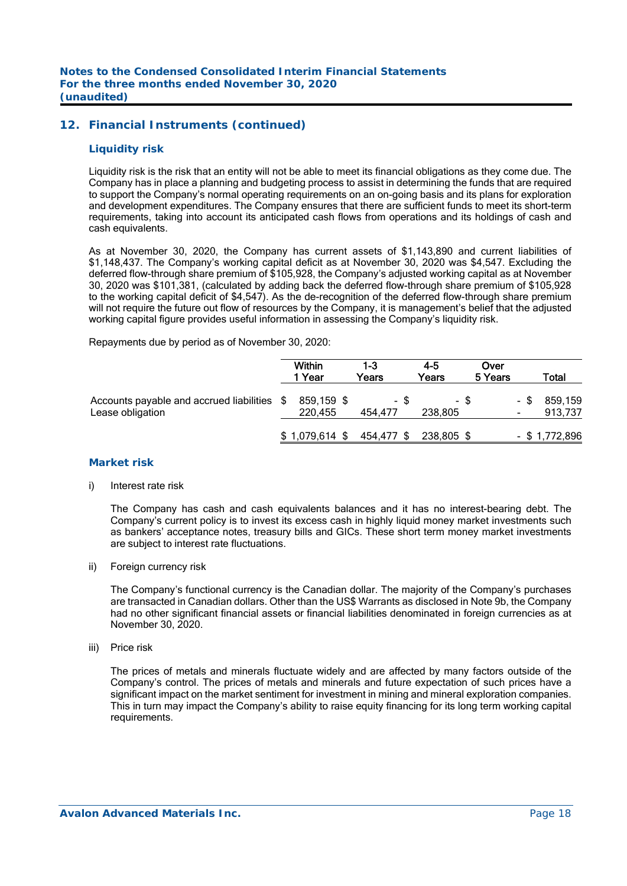## **12. Financial Instruments (continued)**

#### *Liquidity risk*

Liquidity risk is the risk that an entity will not be able to meet its financial obligations as they come due. The Company has in place a planning and budgeting process to assist in determining the funds that are required to support the Company's normal operating requirements on an on-going basis and its plans for exploration and development expenditures. The Company ensures that there are sufficient funds to meet its short-term requirements, taking into account its anticipated cash flows from operations and its holdings of cash and cash equivalents.

As at November 30, 2020, the Company has current assets of \$1,143,890 and current liabilities of \$1,148,437. The Company's working capital deficit as at November 30, 2020 was \$4,547. Excluding the deferred flow-through share premium of \$105,928, the Company's adjusted working capital as at November 30, 2020 was \$101,381, (calculated by adding back the deferred flow-through share premium of \$105,928 to the working capital deficit of \$4,547). As the de-recognition of the deferred flow-through share premium will not require the future out flow of resources by the Company, it is management's belief that the adjusted working capital figure provides useful information in assessing the Company's liquidity risk.

Repayments due by period as of November 30, 2020:

|                                                                 | <b>Within</b><br>1 Year | $1-3$<br>Years  | $4 - 5$<br>Years | Over<br>5 Years |      | Total              |
|-----------------------------------------------------------------|-------------------------|-----------------|------------------|-----------------|------|--------------------|
| Accounts payable and accrued liabilities \$<br>Lease obligation | 859,159 \$<br>220.455   | - \$<br>454.477 | - \$<br>238,805  |                 | - \$ | 859,159<br>913,737 |
|                                                                 | $$1,079,614$ \$         | 454,477 \$      | 238,805 \$       |                 |      | $-$ \$ 1,772,896   |

#### *Market risk*

i) Interest rate risk

 The Company has cash and cash equivalents balances and it has no interest-bearing debt. The Company's current policy is to invest its excess cash in highly liquid money market investments such as bankers' acceptance notes, treasury bills and GICs. These short term money market investments are subject to interest rate fluctuations.

ii) Foreign currency risk

 The Company's functional currency is the Canadian dollar. The majority of the Company's purchases are transacted in Canadian dollars. Other than the US\$ Warrants as disclosed in Note 9b, the Company had no other significant financial assets or financial liabilities denominated in foreign currencies as at November 30, 2020.

iii) Price risk

 The prices of metals and minerals fluctuate widely and are affected by many factors outside of the Company's control. The prices of metals and minerals and future expectation of such prices have a significant impact on the market sentiment for investment in mining and mineral exploration companies. This in turn may impact the Company's ability to raise equity financing for its long term working capital requirements.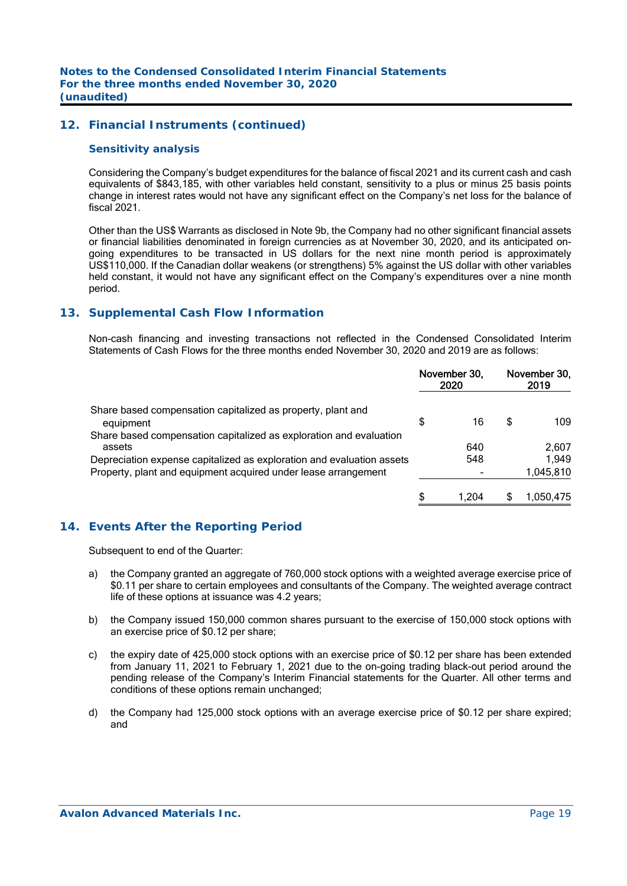## **12. Financial Instruments (continued)**

#### *Sensitivity analysis*

 Considering the Company's budget expenditures for the balance of fiscal 2021 and its current cash and cash equivalents of \$843,185, with other variables held constant, sensitivity to a plus or minus 25 basis points change in interest rates would not have any significant effect on the Company's net loss for the balance of fiscal 2021.

 Other than the US\$ Warrants as disclosed in Note 9b, the Company had no other significant financial assets or financial liabilities denominated in foreign currencies as at November 30, 2020, and its anticipated ongoing expenditures to be transacted in US dollars for the next nine month period is approximately US\$110,000. If the Canadian dollar weakens (or strengthens) 5% against the US dollar with other variables held constant, it would not have any significant effect on the Company's expenditures over a nine month period.

#### **13. Supplemental Cash Flow Information**

 Non-cash financing and investing transactions not reflected in the Condensed Consolidated Interim Statements of Cash Flows for the three months ended November 30, 2020 and 2019 are as follows:

|                                                                              |    | November 30,<br>2020 | November 30,<br>2019 |           |
|------------------------------------------------------------------------------|----|----------------------|----------------------|-----------|
| Share based compensation capitalized as property, plant and<br>equipment     | \$ | 16                   | S                    | 109       |
| Share based compensation capitalized as exploration and evaluation<br>assets |    | 640                  |                      | 2.607     |
| Depreciation expense capitalized as exploration and evaluation assets        |    | 548                  |                      | 1.949     |
| Property, plant and equipment acquired under lease arrangement               |    |                      |                      | 1,045,810 |
|                                                                              | S  | 1.204                |                      | 1,050,475 |

## **14. Events After the Reporting Period**

Subsequent to end of the Quarter:

- a) the Company granted an aggregate of 760,000 stock options with a weighted average exercise price of \$0.11 per share to certain employees and consultants of the Company. The weighted average contract life of these options at issuance was 4.2 years;
- b) the Company issued 150,000 common shares pursuant to the exercise of 150,000 stock options with an exercise price of \$0.12 per share;
- c) the expiry date of 425,000 stock options with an exercise price of \$0.12 per share has been extended from January 11, 2021 to February 1, 2021 due to the on-going trading black-out period around the pending release of the Company's Interim Financial statements for the Quarter. All other terms and conditions of these options remain unchanged;
- d) the Company had 125,000 stock options with an average exercise price of \$0.12 per share expired; and